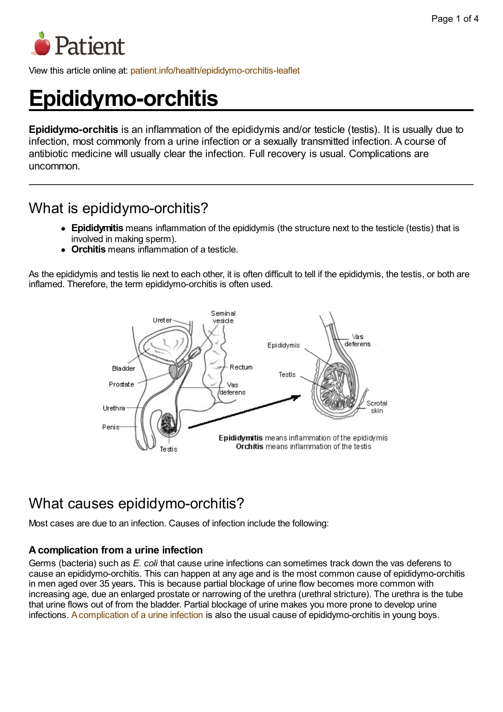

View this article online at: [patient.info/health/epididymo-orchitis-leaflet](http://patient.info/health/epididymo-orchitis-leaflet)

# **Epididymo-orchitis**

**Epididymo-orchitis** is an inflammation of the epididymis and/or testicle (testis). It is usually due to infection, most commonly from a urine infection or a sexually transmitted infection. A course of antibiotic medicine will usually clear the infection. Full recovery is usual. Complications are uncommon.

# What is epididymo-orchitis?

- **Epididymitis** means inflammation of the epididymis (the structure next to the testicle (testis) that is involved in making sperm).
- **Orchitis** means inflammation of a testicle.

As the epididymis and testis lie next to each other, it is often difficult to tell if the epididymis, the testis, or both are inflamed. Therefore, the term epididymo-orchitis is often used.



# What causes epididymo-orchitis?

Most cases are due to an infection. Causes of infection include the following:

### **Acomplication from a urine infection**

Germs (bacteria) such as *E. coli* that cause urine infections can sometimes track down the vas deferens to cause an epididymo-orchitis. This can happen at any age and is the most common cause of epididymo-orchitis in men aged over 35 years. This is because partial blockage of urine flow becomes more common with increasing age, due an enlarged prostate or narrowing of the urethra (urethral stricture). The urethra is the tube that urine flows out of from the bladder. Partial blockage of urine makes you more prone to develop urine infections. [Acomplication](http://patient.info/health/urine-infection-in-children) of a urine infection is also the usual cause of epididymo-orchitis in young boys.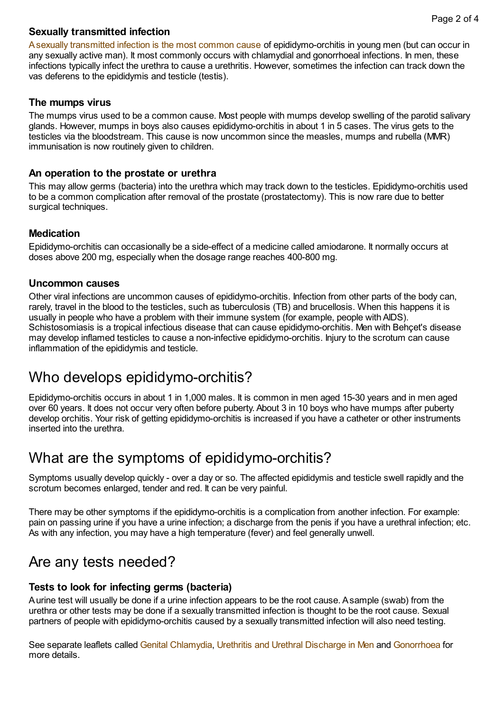#### **Sexually transmitted infection**

Asexually [transmitted](http://patient.info/health/sexually-transmitted-infections-leaflet) infection is the most common cause of epididymo-orchitis in young men (but can occur in any sexually active man). It most commonly occurs with chlamydial and gonorrhoeal infections. In men, these infections typically infect the urethra to cause a urethritis. However, sometimes the infection can track down the vas deferens to the epididymis and testicle (testis).

#### **The mumps virus**

The mumps virus used to be a common cause. Most people with mumps develop swelling of the parotid salivary glands. However, mumps in boys also causes epididymo-orchitis in about 1 in 5 cases. The virus gets to the testicles via the bloodstream. This cause is now uncommon since the measles, mumps and rubella (MMR) immunisation is now routinely given to children.

#### **An operation to the prostate or urethra**

This may allow germs (bacteria) into the urethra which may track down to the testicles. Epididymo-orchitis used to be a common complication after removal of the prostate (prostatectomy). This is now rare due to better surgical techniques.

#### **Medication**

Epididymo-orchitis can occasionally be a side-effect of a medicine called amiodarone. It normally occurs at doses above 200 mg, especially when the dosage range reaches 400-800 mg.

#### **Uncommon causes**

Other viral infections are uncommon causes of epididymo-orchitis. Infection from other parts of the body can, rarely, travel in the blood to the testicles, such as tuberculosis (TB) and brucellosis. When this happens it is usually in people who have a problem with their immune system (for example, people with AIDS). Schistosomiasis is a tropical infectious disease that can cause epididymo-orchitis. Men with Behçet's disease may develop inflamed testicles to cause a non-infective epididymo-orchitis. Injury to the scrotum can cause inflammation of the epididymis and testicle.

### Who develops epididymo-orchitis?

Epididymo-orchitis occurs in about 1 in 1,000 males. It is common in men aged 15-30 years and in men aged over 60 years. It does not occur very often before puberty. About 3 in 10 boys who have mumps after puberty develop orchitis. Your risk of getting epididymo-orchitis is increased if you have a catheter or other instruments inserted into the urethra.

### What are the symptoms of epididymo-orchitis?

Symptoms usually develop quickly - over a day or so. The affected epididymis and testicle swell rapidly and the scrotum becomes enlarged, tender and red. It can be very painful.

There may be other symptoms if the epididymo-orchitis is a complication from another infection. For example: pain on passing urine if you have a urine infection; a discharge from the penis if you have a urethral infection; etc. As with any infection, you may have a high temperature (fever) and feel generally unwell.

### Are any tests needed?

### **Tests to look for infecting germs (bacteria)**

Aurine test will usually be done if a urine infection appears to be the root cause. Asample (swab) from the urethra or other tests may be done if a sexually transmitted infection is thought to be the root cause. Sexual partners of people with epididymo-orchitis caused by a sexually transmitted infection will also need testing.

See separate leaflets called Genital [Chlamydia,](http://patient.info/health/genital-chlamydia-leaflet) Urethritis and Urethral [Discharge](http://patient.info/health/urethritis-and-urethral-discharge-in-men) in Men and [Gonorrhoea](http://patient.info/health/gonorrhoea-leaflet) for more details.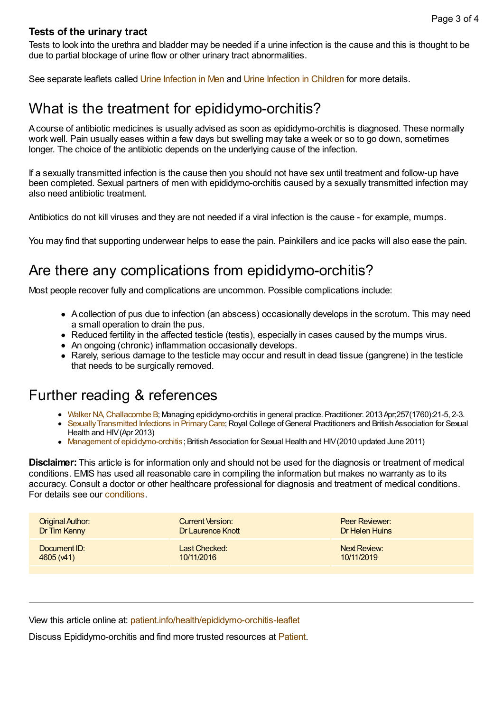#### **Tests of the urinary tract**

Tests to look into the urethra and bladder may be needed if a urine infection is the cause and this is thought to be due to partial blockage of urine flow or other urinary tract abnormalities.

See separate leaflets called Urine [Infection](http://patient.info/health/urine-infection-in-children) in Men and Urine Infection in Children for more details.

### What is the treatment for epididymo-orchitis?

Acourse of antibiotic medicines is usually advised as soon as epididymo-orchitis is diagnosed. These normally work well. Pain usually eases within a few days but swelling may take a week or so to go down, sometimes longer. The choice of the antibiotic depends on the underlying cause of the infection.

If a sexually transmitted infection is the cause then you should not have sex until treatment and follow-up have been completed. Sexual partners of men with epididymo-orchitis caused by a sexually transmitted infection may also need antibiotic treatment.

Antibiotics do not kill viruses and they are not needed if a viral infection is the cause - for example, mumps.

You may find that supporting underwear helps to ease the pain. Painkillers and ice packs will also ease the pain.

### Are there any complications from epididymo-orchitis?

Most people recover fully and complications are uncommon. Possible complications include:

- Acollection of pus due to infection (an abscess) occasionally develops in the scrotum. This may need a small operation to drain the pus.
- Reduced fertility in the affected testicle (testis), especially in cases caused by the mumps virus.
- An ongoing (chronic) inflammation occasionally develops.
- Rarely, serious damage to the testicle may occur and result in dead tissue (gangrene) in the testicle that needs to be surgically removed.

### Further reading & references

- Walker [NA,Challacombe](http://www.ncbi.nlm.nih.gov/entrez/query.fcgi?cmd=Retrieve&db=PubMed&dopt=Abstract&list_uids=23724748) B; Managing epididymo-orchitis in general practice. Practitioner. 2013Apr;257(1760):21-5, 2-3.
- Sexually Transmitted Infections in Primary Care; Royal College of General Practitioners and British Association for Sexual Health and HIV(Apr 2013)
- Management of epididymo-orchitis: British Association for Sexual Health and HIV(2010 updated June 2011)

**Disclaimer:** This article is for information only and should not be used for the diagnosis or treatment of medical conditions. EMIS has used all reasonable care in compiling the information but makes no warranty as to its accuracy. Consult a doctor or other healthcare professional for diagnosis and treatment of medical conditions. For details see our [conditions.](http://patient.info/terms-and-conditions)

| <b>Original Author:</b> | Current Version:  | <b>Peer Reviewer:</b> |
|-------------------------|-------------------|-----------------------|
| Dr Tim Kenny            | Dr Laurence Knott | Dr Helen Huins        |
| Document ID:            | Last Checked:     | Next Review:          |
| 4605(41)                | 10/11/2016        | 10/11/2019            |

View this article online at: [patient.info/health/epididymo-orchitis-leaflet](http://patient.info/health/epididymo-orchitis-leaflet)

Discuss Epididymo-orchitis and find more trusted resources at [Patient.](http://patient.info)